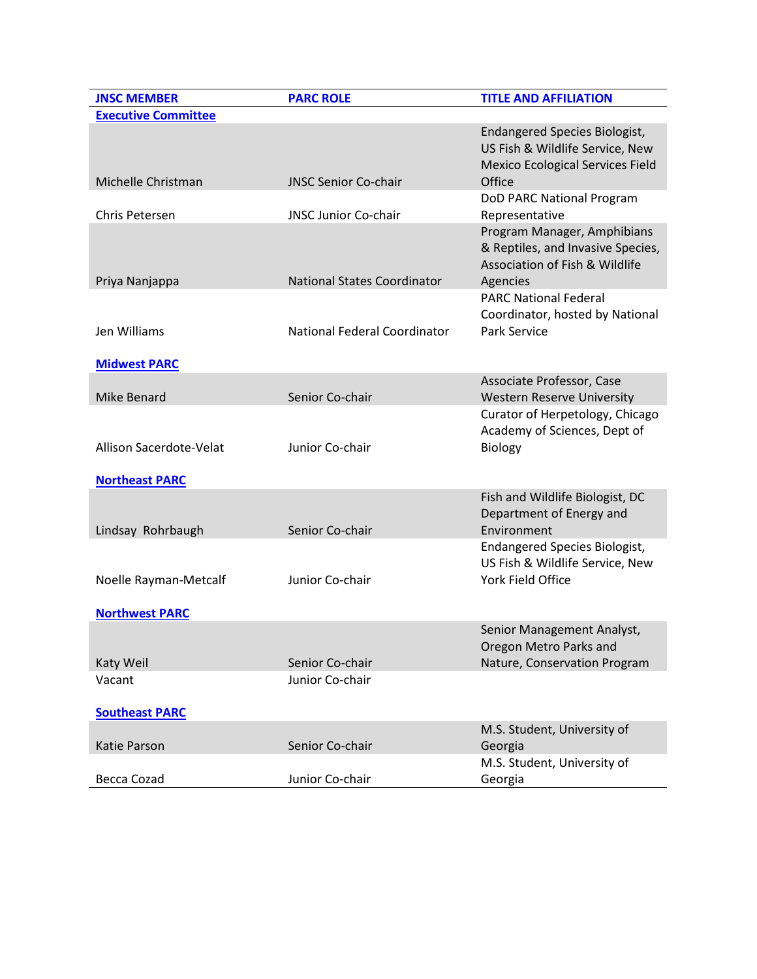| <b>JNSC MEMBER</b>         | <b>PARC ROLE</b>                    | <b>TITLE AND AFFILIATION</b>                                                                                          |
|----------------------------|-------------------------------------|-----------------------------------------------------------------------------------------------------------------------|
| <b>Executive Committee</b> |                                     |                                                                                                                       |
| Michelle Christman         | <b>JNSC Senior Co-chair</b>         | Endangered Species Biologist,<br>US Fish & Wildlife Service, New<br><b>Mexico Ecological Services Field</b><br>Office |
|                            |                                     | DoD PARC National Program                                                                                             |
| Chris Petersen             | <b>JNSC Junior Co-chair</b>         | Representative                                                                                                        |
| Priya Nanjappa             | <b>National States Coordinator</b>  | Program Manager, Amphibians<br>& Reptiles, and Invasive Species,<br>Association of Fish & Wildlife<br>Agencies        |
|                            |                                     | <b>PARC National Federal</b>                                                                                          |
| Jen Williams               | <b>National Federal Coordinator</b> | Coordinator, hosted by National<br>Park Service                                                                       |
|                            |                                     |                                                                                                                       |
| <b>Midwest PARC</b>        |                                     |                                                                                                                       |
| Mike Benard                | Senior Co-chair                     | Associate Professor, Case<br><b>Western Reserve University</b>                                                        |
| Allison Sacerdote-Velat    | Junior Co-chair                     | Curator of Herpetology, Chicago<br>Academy of Sciences, Dept of<br><b>Biology</b>                                     |
| <b>Northeast PARC</b>      |                                     |                                                                                                                       |
| Lindsay Rohrbaugh          | Senior Co-chair                     | Fish and Wildlife Biologist, DC<br>Department of Energy and<br>Environment                                            |
|                            |                                     | <b>Endangered Species Biologist,</b>                                                                                  |
| Noelle Rayman-Metcalf      | Junior Co-chair                     | US Fish & Wildlife Service, New<br>York Field Office                                                                  |
| <b>Northwest PARC</b>      |                                     |                                                                                                                       |
|                            |                                     | Senior Management Analyst,<br>Oregon Metro Parks and                                                                  |
| Katy Weil                  | Senior Co-chair                     | Nature, Conservation Program                                                                                          |
| Vacant                     | Junior Co-chair                     |                                                                                                                       |
| <b>Southeast PARC</b>      |                                     |                                                                                                                       |
|                            |                                     | M.S. Student, University of                                                                                           |
| Katie Parson               | Senior Co-chair                     | Georgia                                                                                                               |
| Becca Cozad                | Junior Co-chair                     | M.S. Student, University of<br>Georgia                                                                                |